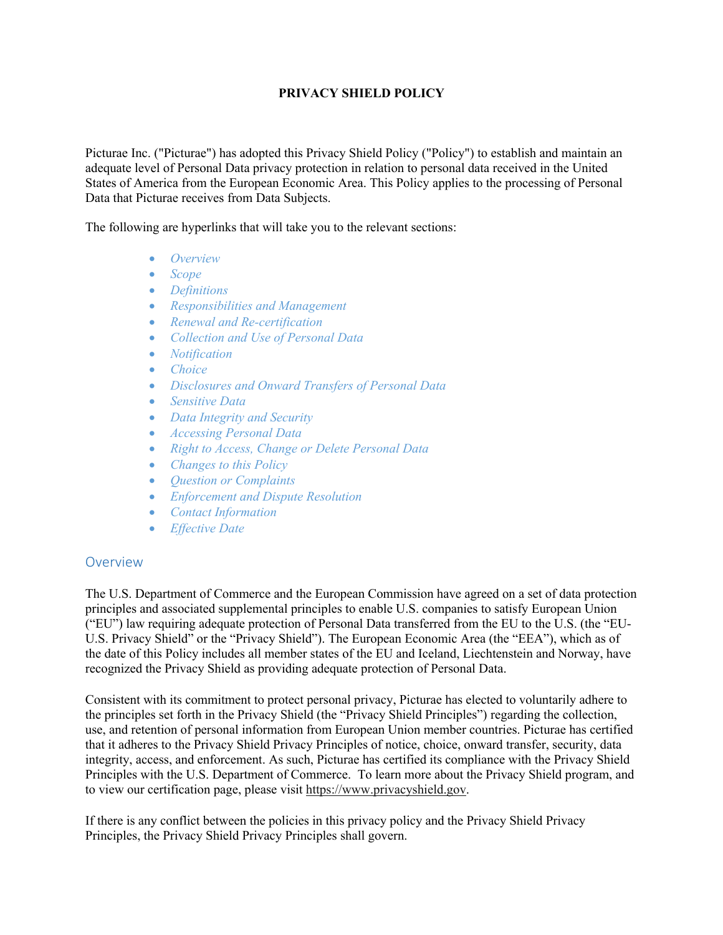### **PRIVACY SHIELD POLICY**

Picturae Inc. ("Picturae") has adopted this Privacy Shield Policy ("Policy") to establish and maintain an adequate level of Personal Data privacy protection in relation to personal data received in the United States of America from the European Economic Area. This Policy applies to the processing of Personal Data that Picturae receives from Data Subjects.

The following are hyperlinks that will take you to the relevant sections:

- *Overview*
- *Scope*
- *Definitions*
- *Responsibilities and Management*
- *Renewal and Re-certification*
- *Collection and Use of Personal Data*
- *Notification*
- *Choice*
- *Disclosures and Onward Transfers of Personal Data*
- *Sensitive Data*
- *Data Integrity and Security*
- *Accessing Personal Data*
- *Right to Access, Change or Delete Personal Data*
- *Changes to this Policy*
- *Question or Complaints*
- *Enforcement and Dispute Resolution*
- *Contact Information*
- *Effective Date*

#### **Overview**

The U.S. Department of Commerce and the European Commission have agreed on a set of data protection principles and associated supplemental principles to enable U.S. companies to satisfy European Union ("EU") law requiring adequate protection of Personal Data transferred from the EU to the U.S. (the "EU-U.S. Privacy Shield" or the "Privacy Shield"). The European Economic Area (the "EEA"), which as of the date of this Policy includes all member states of the EU and Iceland, Liechtenstein and Norway, have recognized the Privacy Shield as providing adequate protection of Personal Data.

Consistent with its commitment to protect personal privacy, Picturae has elected to voluntarily adhere to the principles set forth in the Privacy Shield (the "Privacy Shield Principles") regarding the collection, use, and retention of personal information from European Union member countries. Picturae has certified that it adheres to the Privacy Shield Privacy Principles of notice, choice, onward transfer, security, data integrity, access, and enforcement. As such, Picturae has certified its compliance with the Privacy Shield Principles with the U.S. Department of Commerce. To learn more about the Privacy Shield program, and to view our certification page, please visit https://www.privacyshield.gov.

If there is any conflict between the policies in this privacy policy and the Privacy Shield Privacy Principles, the Privacy Shield Privacy Principles shall govern.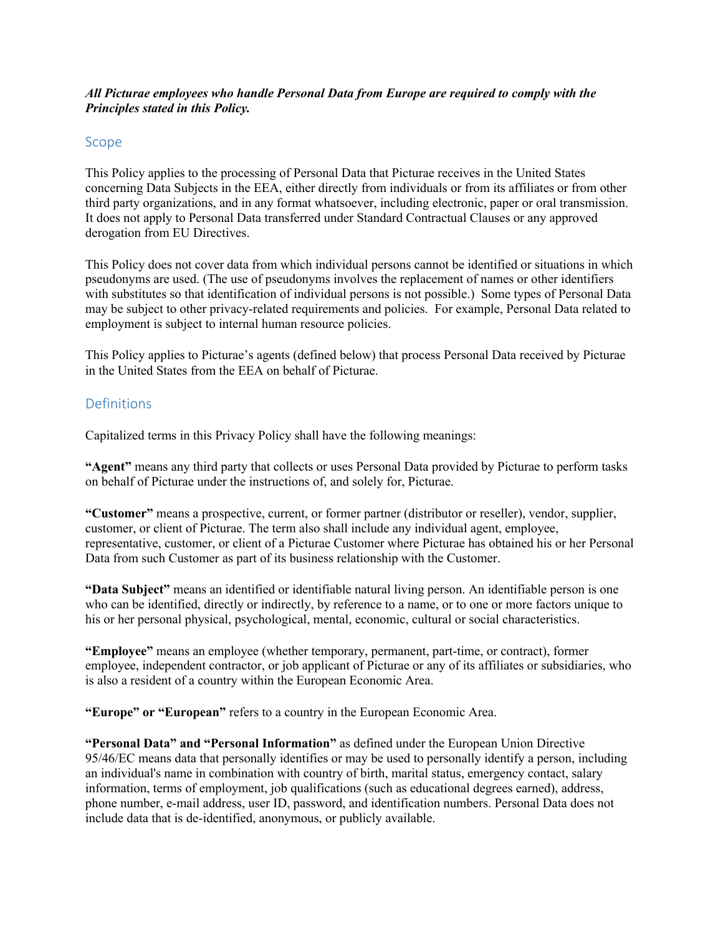### *All Picturae employees who handle Personal Data from Europe are required to comply with the Principles stated in this Policy.*

### Scope

This Policy applies to the processing of Personal Data that Picturae receives in the United States concerning Data Subjects in the EEA, either directly from individuals or from its affiliates or from other third party organizations, and in any format whatsoever, including electronic, paper or oral transmission. It does not apply to Personal Data transferred under Standard Contractual Clauses or any approved derogation from EU Directives.

This Policy does not cover data from which individual persons cannot be identified or situations in which pseudonyms are used. (The use of pseudonyms involves the replacement of names or other identifiers with substitutes so that identification of individual persons is not possible.) Some types of Personal Data may be subject to other privacy-related requirements and policies. For example, Personal Data related to employment is subject to internal human resource policies.

This Policy applies to Picturae's agents (defined below) that process Personal Data received by Picturae in the United States from the EEA on behalf of Picturae.

### **Definitions**

Capitalized terms in this Privacy Policy shall have the following meanings:

**"Agent"** means any third party that collects or uses Personal Data provided by Picturae to perform tasks on behalf of Picturae under the instructions of, and solely for, Picturae.

**"Customer"** means a prospective, current, or former partner (distributor or reseller), vendor, supplier, customer, or client of Picturae. The term also shall include any individual agent, employee, representative, customer, or client of a Picturae Customer where Picturae has obtained his or her Personal Data from such Customer as part of its business relationship with the Customer.

**"Data Subject"** means an identified or identifiable natural living person. An identifiable person is one who can be identified, directly or indirectly, by reference to a name, or to one or more factors unique to his or her personal physical, psychological, mental, economic, cultural or social characteristics.

**"Employee"** means an employee (whether temporary, permanent, part-time, or contract), former employee, independent contractor, or job applicant of Picturae or any of its affiliates or subsidiaries, who is also a resident of a country within the European Economic Area.

**"Europe" or "European"** refers to a country in the European Economic Area.

**"Personal Data" and "Personal Information"** as defined under the European Union Directive 95/46/EC means data that personally identifies or may be used to personally identify a person, including an individual's name in combination with country of birth, marital status, emergency contact, salary information, terms of employment, job qualifications (such as educational degrees earned), address, phone number, e-mail address, user ID, password, and identification numbers. Personal Data does not include data that is de-identified, anonymous, or publicly available.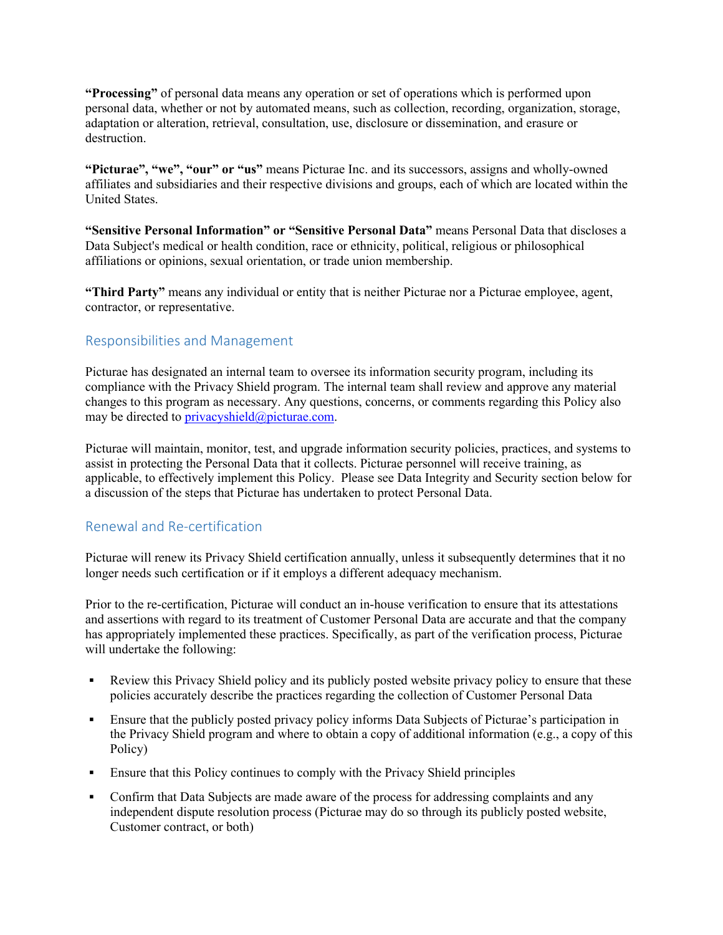**"Processing"** of personal data means any operation or set of operations which is performed upon personal data, whether or not by automated means, such as collection, recording, organization, storage, adaptation or alteration, retrieval, consultation, use, disclosure or dissemination, and erasure or destruction.

**"Picturae", "we", "our" or "us"** means Picturae Inc. and its successors, assigns and wholly-owned affiliates and subsidiaries and their respective divisions and groups, each of which are located within the United States.

**"Sensitive Personal Information" or "Sensitive Personal Data"** means Personal Data that discloses a Data Subject's medical or health condition, race or ethnicity, political, religious or philosophical affiliations or opinions, sexual orientation, or trade union membership.

**"Third Party"** means any individual or entity that is neither Picturae nor a Picturae employee, agent, contractor, or representative.

# Responsibilities and Management

Picturae has designated an internal team to oversee its information security program, including its compliance with the Privacy Shield program. The internal team shall review and approve any material changes to this program as necessary. Any questions, concerns, or comments regarding this Policy also may be directed to privacyshield@picturae.com.

Picturae will maintain, monitor, test, and upgrade information security policies, practices, and systems to assist in protecting the Personal Data that it collects. Picturae personnel will receive training, as applicable, to effectively implement this Policy. Please see Data Integrity and Security section below for a discussion of the steps that Picturae has undertaken to protect Personal Data.

## Renewal and Re-certification

Picturae will renew its Privacy Shield certification annually, unless it subsequently determines that it no longer needs such certification or if it employs a different adequacy mechanism.

Prior to the re-certification, Picturae will conduct an in-house verification to ensure that its attestations and assertions with regard to its treatment of Customer Personal Data are accurate and that the company has appropriately implemented these practices. Specifically, as part of the verification process, Picturae will undertake the following:

- Review this Privacy Shield policy and its publicly posted website privacy policy to ensure that these policies accurately describe the practices regarding the collection of Customer Personal Data
- Ensure that the publicly posted privacy policy informs Data Subjects of Picturae's participation in the Privacy Shield program and where to obtain a copy of additional information (e.g., a copy of this Policy)
- Ensure that this Policy continues to comply with the Privacy Shield principles
- Confirm that Data Subjects are made aware of the process for addressing complaints and any independent dispute resolution process (Picturae may do so through its publicly posted website, Customer contract, or both)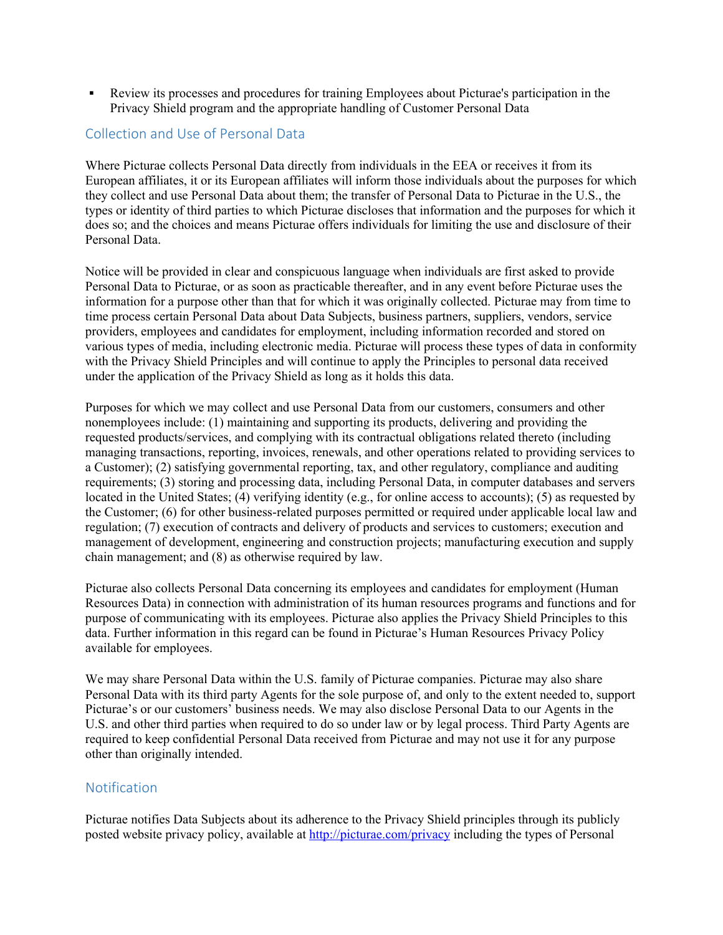§ Review its processes and procedures for training Employees about Picturae's participation in the Privacy Shield program and the appropriate handling of Customer Personal Data

### Collection and Use of Personal Data

Where Picturae collects Personal Data directly from individuals in the EEA or receives it from its European affiliates, it or its European affiliates will inform those individuals about the purposes for which they collect and use Personal Data about them; the transfer of Personal Data to Picturae in the U.S., the types or identity of third parties to which Picturae discloses that information and the purposes for which it does so; and the choices and means Picturae offers individuals for limiting the use and disclosure of their Personal Data.

Notice will be provided in clear and conspicuous language when individuals are first asked to provide Personal Data to Picturae, or as soon as practicable thereafter, and in any event before Picturae uses the information for a purpose other than that for which it was originally collected. Picturae may from time to time process certain Personal Data about Data Subjects, business partners, suppliers, vendors, service providers, employees and candidates for employment, including information recorded and stored on various types of media, including electronic media. Picturae will process these types of data in conformity with the Privacy Shield Principles and will continue to apply the Principles to personal data received under the application of the Privacy Shield as long as it holds this data.

Purposes for which we may collect and use Personal Data from our customers, consumers and other nonemployees include: (1) maintaining and supporting its products, delivering and providing the requested products/services, and complying with its contractual obligations related thereto (including managing transactions, reporting, invoices, renewals, and other operations related to providing services to a Customer); (2) satisfying governmental reporting, tax, and other regulatory, compliance and auditing requirements; (3) storing and processing data, including Personal Data, in computer databases and servers located in the United States; (4) verifying identity (e.g., for online access to accounts); (5) as requested by the Customer; (6) for other business-related purposes permitted or required under applicable local law and regulation; (7) execution of contracts and delivery of products and services to customers; execution and management of development, engineering and construction projects; manufacturing execution and supply chain management; and (8) as otherwise required by law.

Picturae also collects Personal Data concerning its employees and candidates for employment (Human Resources Data) in connection with administration of its human resources programs and functions and for purpose of communicating with its employees. Picturae also applies the Privacy Shield Principles to this data. Further information in this regard can be found in Picturae's Human Resources Privacy Policy available for employees.

We may share Personal Data within the U.S. family of Picturae companies. Picturae may also share Personal Data with its third party Agents for the sole purpose of, and only to the extent needed to, support Picturae's or our customers' business needs. We may also disclose Personal Data to our Agents in the U.S. and other third parties when required to do so under law or by legal process. Third Party Agents are required to keep confidential Personal Data received from Picturae and may not use it for any purpose other than originally intended.

### Notification

Picturae notifies Data Subjects about its adherence to the Privacy Shield principles through its publicly posted website privacy policy, available at http://picturae.com/privacy including the types of Personal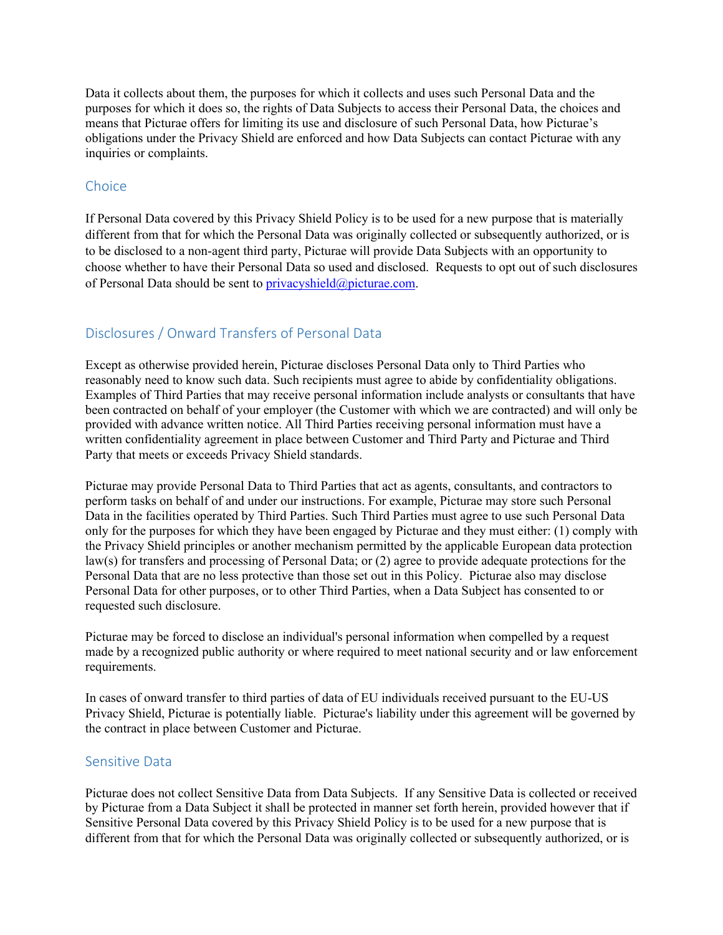Data it collects about them, the purposes for which it collects and uses such Personal Data and the purposes for which it does so, the rights of Data Subjects to access their Personal Data, the choices and means that Picturae offers for limiting its use and disclosure of such Personal Data, how Picturae's obligations under the Privacy Shield are enforced and how Data Subjects can contact Picturae with any inquiries or complaints.

### **Choice**

If Personal Data covered by this Privacy Shield Policy is to be used for a new purpose that is materially different from that for which the Personal Data was originally collected or subsequently authorized, or is to be disclosed to a non-agent third party, Picturae will provide Data Subjects with an opportunity to choose whether to have their Personal Data so used and disclosed. Requests to opt out of such disclosures of Personal Data should be sent to privacyshield@picturae.com.

# Disclosures / Onward Transfers of Personal Data

Except as otherwise provided herein, Picturae discloses Personal Data only to Third Parties who reasonably need to know such data. Such recipients must agree to abide by confidentiality obligations. Examples of Third Parties that may receive personal information include analysts or consultants that have been contracted on behalf of your employer (the Customer with which we are contracted) and will only be provided with advance written notice. All Third Parties receiving personal information must have a written confidentiality agreement in place between Customer and Third Party and Picturae and Third Party that meets or exceeds Privacy Shield standards.

Picturae may provide Personal Data to Third Parties that act as agents, consultants, and contractors to perform tasks on behalf of and under our instructions. For example, Picturae may store such Personal Data in the facilities operated by Third Parties. Such Third Parties must agree to use such Personal Data only for the purposes for which they have been engaged by Picturae and they must either: (1) comply with the Privacy Shield principles or another mechanism permitted by the applicable European data protection law(s) for transfers and processing of Personal Data; or (2) agree to provide adequate protections for the Personal Data that are no less protective than those set out in this Policy. Picturae also may disclose Personal Data for other purposes, or to other Third Parties, when a Data Subject has consented to or requested such disclosure.

Picturae may be forced to disclose an individual's personal information when compelled by a request made by a recognized public authority or where required to meet national security and or law enforcement requirements.

In cases of onward transfer to third parties of data of EU individuals received pursuant to the EU-US Privacy Shield, Picturae is potentially liable. Picturae's liability under this agreement will be governed by the contract in place between Customer and Picturae.

#### Sensitive Data

Picturae does not collect Sensitive Data from Data Subjects. If any Sensitive Data is collected or received by Picturae from a Data Subject it shall be protected in manner set forth herein, provided however that if Sensitive Personal Data covered by this Privacy Shield Policy is to be used for a new purpose that is different from that for which the Personal Data was originally collected or subsequently authorized, or is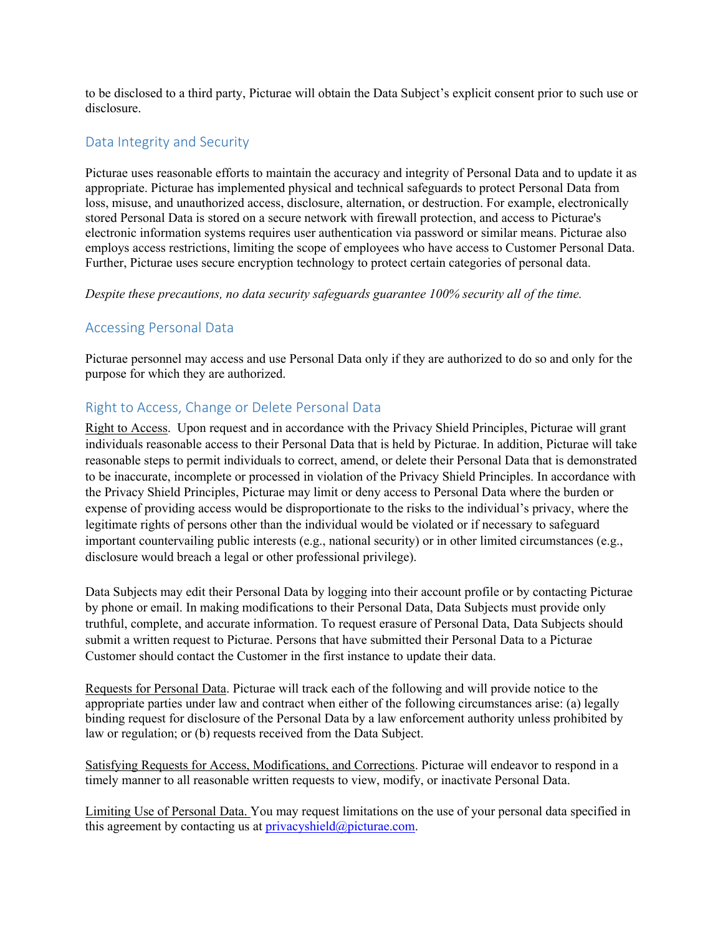to be disclosed to a third party, Picturae will obtain the Data Subject's explicit consent prior to such use or disclosure.

### Data Integrity and Security

Picturae uses reasonable efforts to maintain the accuracy and integrity of Personal Data and to update it as appropriate. Picturae has implemented physical and technical safeguards to protect Personal Data from loss, misuse, and unauthorized access, disclosure, alternation, or destruction. For example, electronically stored Personal Data is stored on a secure network with firewall protection, and access to Picturae's electronic information systems requires user authentication via password or similar means. Picturae also employs access restrictions, limiting the scope of employees who have access to Customer Personal Data. Further, Picturae uses secure encryption technology to protect certain categories of personal data.

*Despite these precautions, no data security safeguards guarantee 100% security all of the time.*

### Accessing Personal Data

Picturae personnel may access and use Personal Data only if they are authorized to do so and only for the purpose for which they are authorized.

### Right to Access, Change or Delete Personal Data

Right to Access. Upon request and in accordance with the Privacy Shield Principles, Picturae will grant individuals reasonable access to their Personal Data that is held by Picturae. In addition, Picturae will take reasonable steps to permit individuals to correct, amend, or delete their Personal Data that is demonstrated to be inaccurate, incomplete or processed in violation of the Privacy Shield Principles. In accordance with the Privacy Shield Principles, Picturae may limit or deny access to Personal Data where the burden or expense of providing access would be disproportionate to the risks to the individual's privacy, where the legitimate rights of persons other than the individual would be violated or if necessary to safeguard important countervailing public interests (e.g., national security) or in other limited circumstances (e.g., disclosure would breach a legal or other professional privilege).

Data Subjects may edit their Personal Data by logging into their account profile or by contacting Picturae by phone or email. In making modifications to their Personal Data, Data Subjects must provide only truthful, complete, and accurate information. To request erasure of Personal Data, Data Subjects should submit a written request to Picturae. Persons that have submitted their Personal Data to a Picturae Customer should contact the Customer in the first instance to update their data.

Requests for Personal Data. Picturae will track each of the following and will provide notice to the appropriate parties under law and contract when either of the following circumstances arise: (a) legally binding request for disclosure of the Personal Data by a law enforcement authority unless prohibited by law or regulation; or (b) requests received from the Data Subject.

Satisfying Requests for Access, Modifications, and Corrections. Picturae will endeavor to respond in a timely manner to all reasonable written requests to view, modify, or inactivate Personal Data.

Limiting Use of Personal Data. You may request limitations on the use of your personal data specified in this agreement by contacting us at  $\text{privacy}shield(\hat{\omega})$  picturae.com.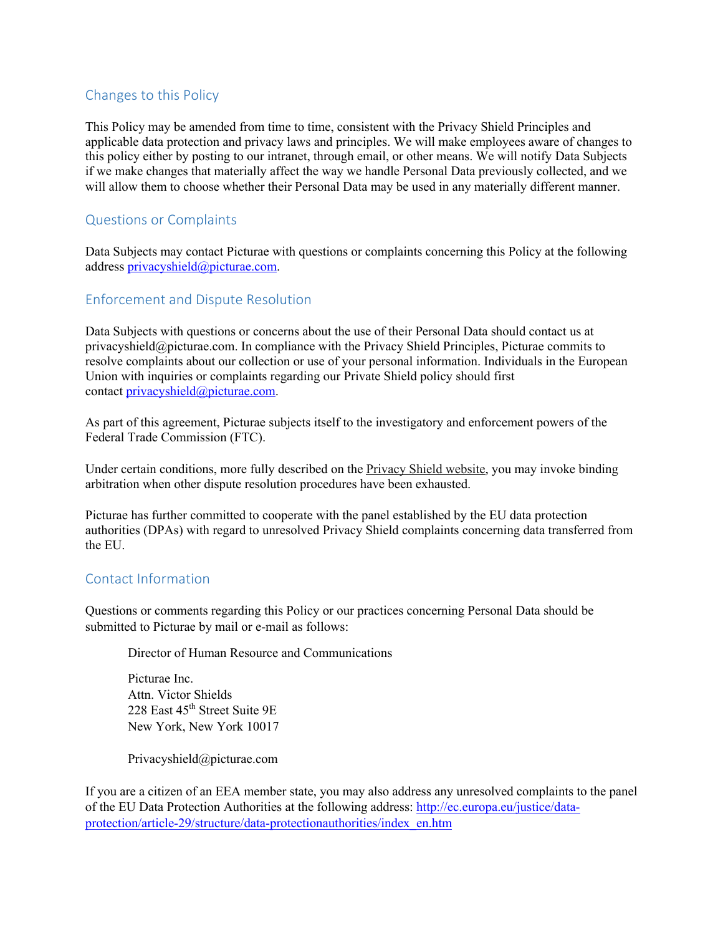# Changes to this Policy

This Policy may be amended from time to time, consistent with the Privacy Shield Principles and applicable data protection and privacy laws and principles. We will make employees aware of changes to this policy either by posting to our intranet, through email, or other means. We will notify Data Subjects if we make changes that materially affect the way we handle Personal Data previously collected, and we will allow them to choose whether their Personal Data may be used in any materially different manner.

# Questions or Complaints

Data Subjects may contact Picturae with questions or complaints concerning this Policy at the following address privacyshield@picturae.com.

# Enforcement and Dispute Resolution

Data Subjects with questions or concerns about the use of their Personal Data should contact us at privacyshield@picturae.com. In compliance with the Privacy Shield Principles, Picturae commits to resolve complaints about our collection or use of your personal information. Individuals in the European Union with inquiries or complaints regarding our Private Shield policy should first contact privacyshield@picturae.com.

As part of this agreement, Picturae subjects itself to the investigatory and enforcement powers of the Federal Trade Commission (FTC).

Under certain conditions, more fully described on the Privacy Shield website, you may invoke binding arbitration when other dispute resolution procedures have been exhausted.

Picturae has further committed to cooperate with the panel established by the EU data protection authorities (DPAs) with regard to unresolved Privacy Shield complaints concerning data transferred from the EU.

# Contact Information

Questions or comments regarding this Policy or our practices concerning Personal Data should be submitted to Picturae by mail or e-mail as follows:

Director of Human Resource and Communications

Picturae Inc. Attn. Victor Shields 228 East 45<sup>th</sup> Street Suite 9E New York, New York 10017

Privacyshield@picturae.com

If you are a citizen of an EEA member state, you may also address any unresolved complaints to the panel of the EU Data Protection Authorities at the following address: http://ec.europa.eu/justice/dataprotection/article-29/structure/data-protectionauthorities/index\_en.htm